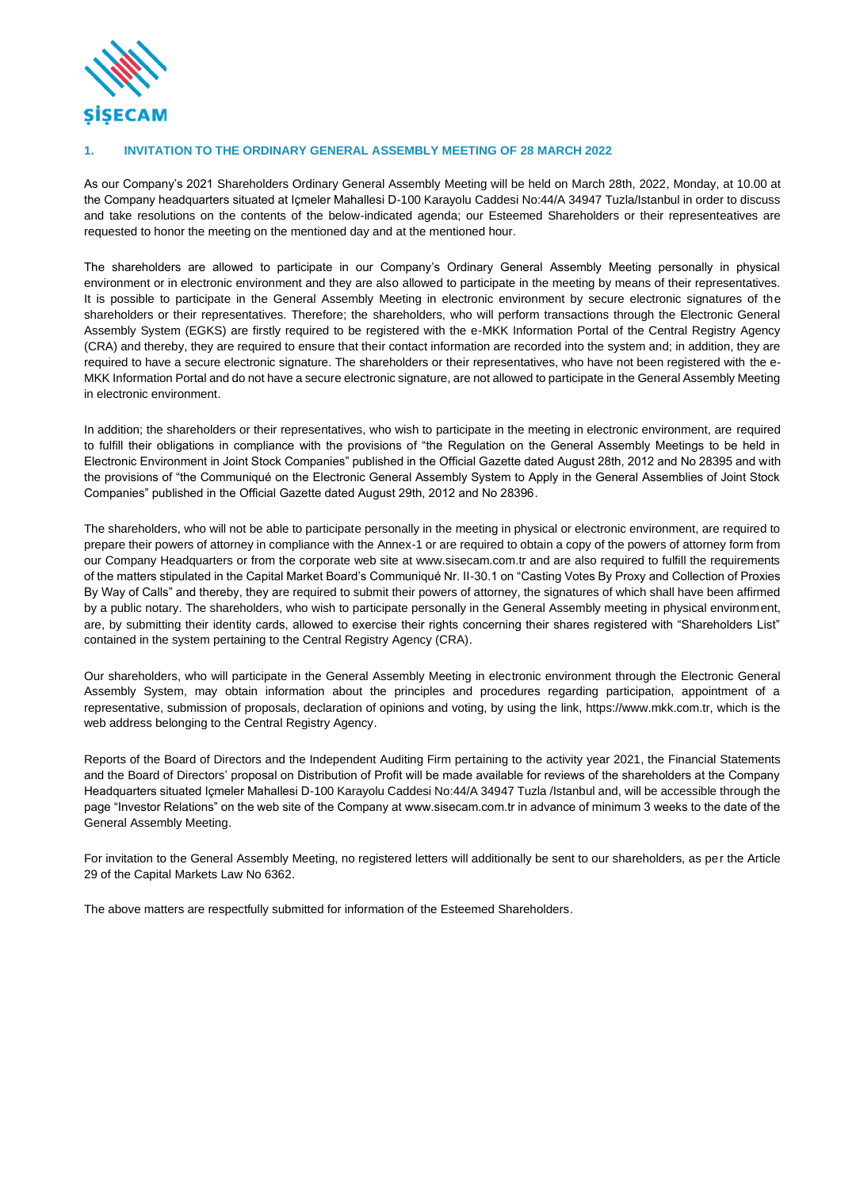

### **1. INVITATION TO THE ORDINARY GENERAL ASSEMBLY MEETING OF 28 MARCH 2022**

As our Company's 2021 Shareholders Ordinary General Assembly Meeting will be held on March 28th, 2022, Monday, at 10.00 at the Company headquarters situated at Içmeler Mahallesi D-100 Karayolu Caddesi No:44/A 34947 Tuzla/Istanbul in order to discuss and take resolutions on the contents of the below-indicated agenda; our Esteemed Shareholders or their representeatives are requested to honor the meeting on the mentioned day and at the mentioned hour.

The shareholders are allowed to participate in our Company's Ordinary General Assembly Meeting personally in physical environment or in electronic environment and they are also allowed to participate in the meeting by means of their representatives. It is possible to participate in the General Assembly Meeting in electronic environment by secure electronic signatures of the shareholders or their representatives. Therefore; the shareholders, who will perform transactions through the Electronic General Assembly System (EGKS) are firstly required to be registered with the e-MKK Information Portal of the Central Registry Agency (CRA) and thereby, they are required to ensure that their contact information are recorded into the system and; in addition, they are required to have a secure electronic signature. The shareholders or their representatives, who have not been registered with the e-MKK Information Portal and do not have a secure electronic signature, are not allowed to participate in the General Assembly Meeting in electronic environment.

In addition; the shareholders or their representatives, who wish to participate in the meeting in electronic environment, are required to fulfill their obligations in compliance with the provisions of "the Regulation on the General Assembly Meetings to be held in Electronic Environment in Joint Stock Companies" published in the Official Gazette dated August 28th, 2012 and No 28395 and with the provisions of "the Communiqué on the Electronic General Assembly System to Apply in the General Assemblies of Joint Stock Companies" published in the Official Gazette dated August 29th, 2012 and No 28396.

The shareholders, who will not be able to participate personally in the meeting in physical or electronic environment, are required to prepare their powers of attorney in compliance with the Annex-1 or are required to obtain a copy of the powers of attorney form from our Company Headquarters or from the corporate web site at www.sisecam.com.tr and are also required to fulfill the requirements of the matters stipulated in the Capital Market Board's Communiqué Nr. II-30.1 on "Casting Votes By Proxy and Collection of Proxies By Way of Calls" and thereby, they are required to submit their powers of attorney, the signatures of which shall have been affirmed by a public notary. The shareholders, who wish to participate personally in the General Assembly meeting in physical environment, are, by submitting their identity cards, allowed to exercise their rights concerning their shares registered with "Shareholders List" contained in the system pertaining to the Central Registry Agency (CRA).

Our shareholders, who will participate in the General Assembly Meeting in electronic environment through the Electronic General Assembly System, may obtain information about the principles and procedures regarding participation, appointment of a representative, submission of proposals, declaration of opinions and voting, by using the link, https://www.mkk.com.tr, which is the web address belonging to the Central Registry Agency.

Reports of the Board of Directors and the Independent Auditing Firm pertaining to the activity year 2021, the Financial Statements and the Board of Directors' proposal on Distribution of Profit will be made available for reviews of the shareholders at the Company Headquarters situated Içmeler Mahallesi D-100 Karayolu Caddesi No:44/A 34947 Tuzla /Istanbul and, will be accessible through the page "Investor Relations" on the web site of the Company at www.sisecam.com.tr in advance of minimum 3 weeks to the date of the General Assembly Meeting.

For invitation to the General Assembly Meeting, no registered letters will additionally be sent to our shareholders, as per the Article 29 of the Capital Markets Law No 6362.

The above matters are respectfully submitted for information of the Esteemed Shareholders.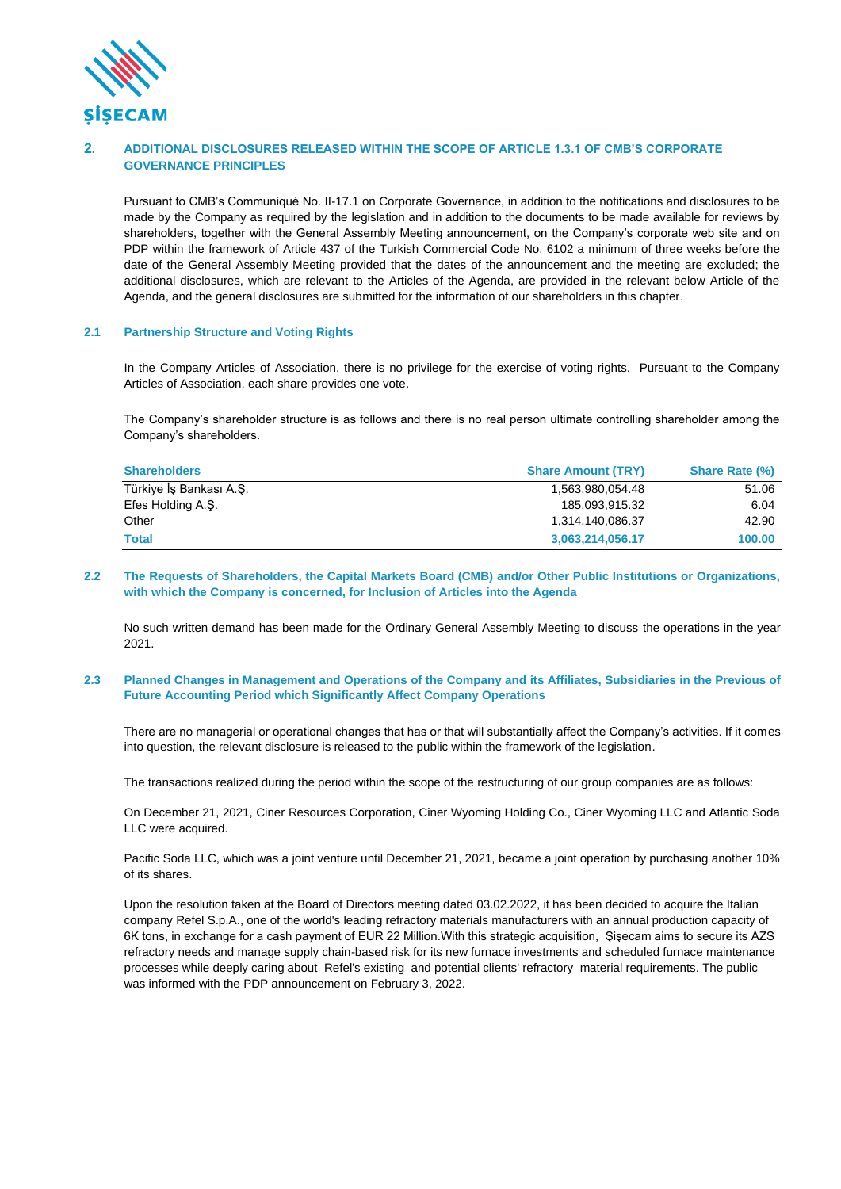

## **2. ADDITIONAL DISCLOSURES RELEASED WITHIN THE SCOPE OF ARTICLE 1.3.1 OF CMB'S CORPORATE GOVERNANCE PRINCIPLES**

Pursuant to CMB's Communiqué No. II-17.1 on Corporate Governance, in addition to the notifications and disclosures to be made by the Company as required by the legislation and in addition to the documents to be made available for reviews by shareholders, together with the General Assembly Meeting announcement, on the Company's corporate web site and on PDP within the framework of Article 437 of the Turkish Commercial Code No. 6102 a minimum of three weeks before the date of the General Assembly Meeting provided that the dates of the announcement and the meeting are excluded; the additional disclosures, which are relevant to the Articles of the Agenda, are provided in the relevant below Article of the Agenda, and the general disclosures are submitted for the information of our shareholders in this chapter.

### **2.1 Partnership Structure and Voting Rights**

In the Company Articles of Association, there is no privilege for the exercise of voting rights. Pursuant to the Company Articles of Association, each share provides one vote.

The Company's shareholder structure is as follows and there is no real person ultimate controlling shareholder among the Company's shareholders.

| <b>Shareholders</b>     | <b>Share Amount (TRY)</b> | <b>Share Rate (%)</b> |
|-------------------------|---------------------------|-----------------------|
| Türkiye İş Bankası A.Ş. | 1,563,980,054.48          | 51.06                 |
| Efes Holding A.S.       | 185.093.915.32            | 6.04                  |
| Other                   | 1,314,140,086.37          | 42.90                 |
| <b>Total</b>            | 3,063,214,056.17          | 100.00                |

#### **2.2 The Requests of Shareholders, the Capital Markets Board (CMB) and/or Other Public Institutions or Organizations, with which the Company is concerned, for Inclusion of Articles into the Agenda**

No such written demand has been made for the Ordinary General Assembly Meeting to discuss the operations in the year 2021.

#### **2.3 Planned Changes in Management and Operations of the Company and its Affiliates, Subsidiaries in the Previous of Future Accounting Period which Significantly Affect Company Operations**

There are no managerial or operational changes that has or that will substantially affect the Company's activities. If it comes into question, the relevant disclosure is released to the public within the framework of the legislation.

The transactions realized during the period within the scope of the restructuring of our group companies are as follows:

On December 21, 2021, Ciner Resources Corporation, Ciner Wyoming Holding Co., Ciner Wyoming LLC and Atlantic Soda LLC were acquired.

Pacific Soda LLC, which was a joint venture until December 21, 2021, became a joint operation by purchasing another 10% of its shares.

Upon the resolution taken at the Board of Directors meeting dated 03.02.2022, it has been decided to acquire the Italian company Refel S.p.A., one of the world's leading refractory materials manufacturers with an annual production capacity of 6K tons, in exchange for a cash payment of EUR 22 Million.With this strategic acquisition, Şişecam aims to secure its AZS refractory needs and manage supply chain-based risk for its new furnace investments and scheduled furnace maintenance processes while deeply caring about Refel's existing and potential clients' refractory material requirements. The public was informed with the PDP announcement on February 3, 2022.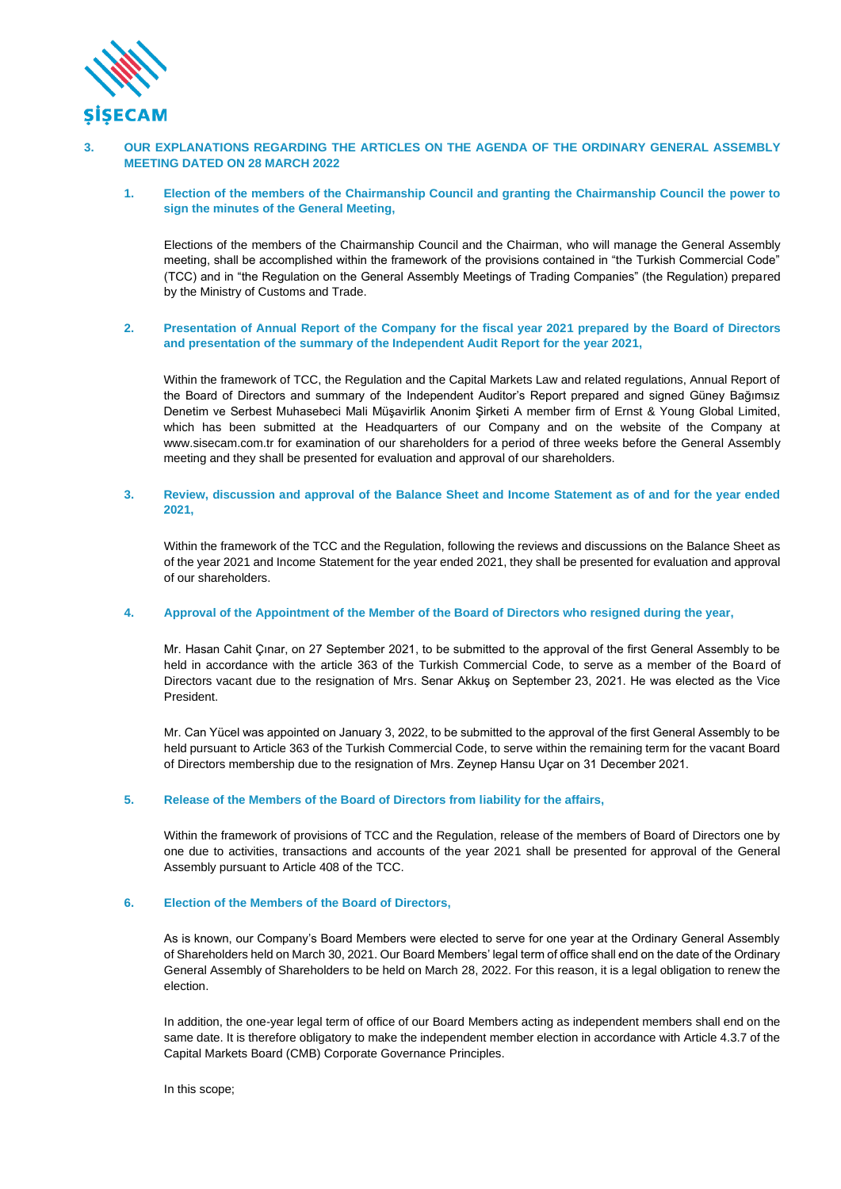

### **3. OUR EXPLANATIONS REGARDING THE ARTICLES ON THE AGENDA OF THE ORDINARY GENERAL ASSEMBLY MEETING DATED ON 28 MARCH 2022**

**1. Election of the members of the Chairmanship Council and granting the Chairmanship Council the power to sign the minutes of the General Meeting,**

Elections of the members of the Chairmanship Council and the Chairman, who will manage the General Assembly meeting, shall be accomplished within the framework of the provisions contained in "the Turkish Commercial Code" (TCC) and in "the Regulation on the General Assembly Meetings of Trading Companies" (the Regulation) prepared by the Ministry of Customs and Trade.

### **2. Presentation of Annual Report of the Company for the fiscal year 2021 prepared by the Board of Directors and presentation of the summary of the Independent Audit Report for the year 2021,**

Within the framework of TCC, the Regulation and the Capital Markets Law and related regulations, Annual Report of the Board of Directors and summary of the Independent Auditor's Report prepared and signed Güney Bağımsız Denetim ve Serbest Muhasebeci Mali Müşavirlik Anonim Şirketi A member firm of Ernst & Young Global Limited, which has been submitted at the Headquarters of our Company and on the website of the Company at www.sisecam.com.tr for examination of our shareholders for a period of three weeks before the General Assembly meeting and they shall be presented for evaluation and approval of our shareholders.

### **3. Review, discussion and approval of the Balance Sheet and Income Statement as of and for the year ended 2021,**

Within the framework of the TCC and the Regulation, following the reviews and discussions on the Balance Sheet as of the year 2021 and Income Statement for the year ended 2021, they shall be presented for evaluation and approval of our shareholders.

### **4. Approval of the Appointment of the Member of the Board of Directors who resigned during the year,**

Mr. Hasan Cahit Çınar, on 27 September 2021, to be submitted to the approval of the first General Assembly to be held in accordance with the article 363 of the Turkish Commercial Code, to serve as a member of the Board of Directors vacant due to the resignation of Mrs. Senar Akkuş on September 23, 2021. He was elected as the Vice President.

Mr. Can Yücel was appointed on January 3, 2022, to be submitted to the approval of the first General Assembly to be held pursuant to Article 363 of the Turkish Commercial Code, to serve within the remaining term for the vacant Board of Directors membership due to the resignation of Mrs. Zeynep Hansu Uçar on 31 December 2021.

### **5. Release of the Members of the Board of Directors from liability for the affairs,**

Within the framework of provisions of TCC and the Regulation, release of the members of Board of Directors one by one due to activities, transactions and accounts of the year 2021 shall be presented for approval of the General Assembly pursuant to Article 408 of the TCC.

#### **6. Election of the Members of the Board of Directors,**

As is known, our Company's Board Members were elected to serve for one year at the Ordinary General Assembly of Shareholders held on March 30, 2021. Our Board Members' legal term of office shall end on the date of the Ordinary General Assembly of Shareholders to be held on March 28, 2022. For this reason, it is a legal obligation to renew the election.

In addition, the one-year legal term of office of our Board Members acting as independent members shall end on the same date. It is therefore obligatory to make the independent member election in accordance with Article 4.3.7 of the Capital Markets Board (CMB) Corporate Governance Principles.

In this scope;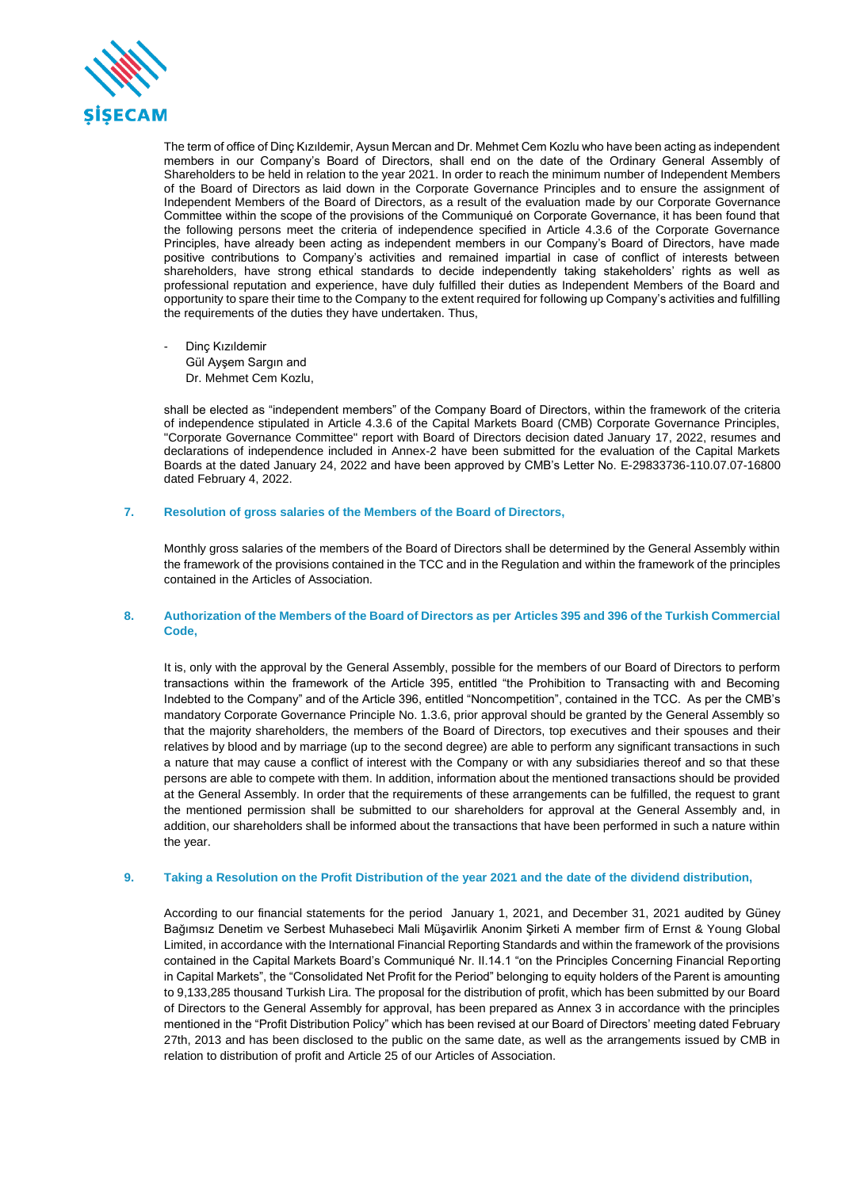

The term of office of Dinç Kızıldemir, Aysun Mercan and Dr. Mehmet Cem Kozlu who have been acting as independent members in our Company's Board of Directors, shall end on the date of the Ordinary General Assembly of Shareholders to be held in relation to the year 2021. In order to reach the minimum number of Independent Members of the Board of Directors as laid down in the Corporate Governance Principles and to ensure the assignment of Independent Members of the Board of Directors, as a result of the evaluation made by our Corporate Governance Committee within the scope of the provisions of the Communiqué on Corporate Governance, it has been found that the following persons meet the criteria of independence specified in Article 4.3.6 of the Corporate Governance Principles, have already been acting as independent members in our Company's Board of Directors, have made positive contributions to Company's activities and remained impartial in case of conflict of interests between shareholders, have strong ethical standards to decide independently taking stakeholders' rights as well as professional reputation and experience, have duly fulfilled their duties as Independent Members of the Board and opportunity to spare their time to the Company to the extent required for following up Company's activities and fulfilling the requirements of the duties they have undertaken. Thus,

Dinç Kızıldemir Gül Ayşem Sargın and Dr. Mehmet Cem Kozlu,

shall be elected as "independent members" of the Company Board of Directors, within the framework of the criteria of independence stipulated in Article 4.3.6 of the Capital Markets Board (CMB) Corporate Governance Principles, "Corporate Governance Committee" report with Board of Directors decision dated January 17, 2022, resumes and declarations of independence included in Annex-2 have been submitted for the evaluation of the Capital Markets Boards at the dated January 24, 2022 and have been approved by CMB's Letter No. E-29833736-110.07.07-16800 dated February 4, 2022.

#### **7. Resolution of gross salaries of the Members of the Board of Directors,**

Monthly gross salaries of the members of the Board of Directors shall be determined by the General Assembly within the framework of the provisions contained in the TCC and in the Regulation and within the framework of the principles contained in the Articles of Association.

### **8. Authorization of the Members of the Board of Directors as per Articles 395 and 396 of the Turkish Commercial Code,**

It is, only with the approval by the General Assembly, possible for the members of our Board of Directors to perform transactions within the framework of the Article 395, entitled "the Prohibition to Transacting with and Becoming Indebted to the Company" and of the Article 396, entitled "Noncompetition", contained in the TCC. As per the CMB's mandatory Corporate Governance Principle No. 1.3.6, prior approval should be granted by the General Assembly so that the majority shareholders, the members of the Board of Directors, top executives and their spouses and their relatives by blood and by marriage (up to the second degree) are able to perform any significant transactions in such a nature that may cause a conflict of interest with the Company or with any subsidiaries thereof and so that these persons are able to compete with them. In addition, information about the mentioned transactions should be provided at the General Assembly. In order that the requirements of these arrangements can be fulfilled, the request to grant the mentioned permission shall be submitted to our shareholders for approval at the General Assembly and, in addition, our shareholders shall be informed about the transactions that have been performed in such a nature within the year.

### **9. Taking a Resolution on the Profit Distribution of the year 2021 and the date of the dividend distribution,**

According to our financial statements for the period January 1, 2021, and December 31, 2021 audited by Güney Bağımsız Denetim ve Serbest Muhasebeci Mali Müşavirlik Anonim Şirketi A member firm of Ernst & Young Global Limited, in accordance with the International Financial Reporting Standards and within the framework of the provisions contained in the Capital Markets Board's Communiqué Nr. II.14.1 "on the Principles Concerning Financial Reporting in Capital Markets", the "Consolidated Net Profit for the Period" belonging to equity holders of the Parent is amounting to 9,133,285 thousand Turkish Lira. The proposal for the distribution of profit, which has been submitted by our Board of Directors to the General Assembly for approval, has been prepared as Annex 3 in accordance with the principles mentioned in the "Profit Distribution Policy" which has been revised at our Board of Directors' meeting dated February 27th, 2013 and has been disclosed to the public on the same date, as well as the arrangements issued by CMB in relation to distribution of profit and Article 25 of our Articles of Association.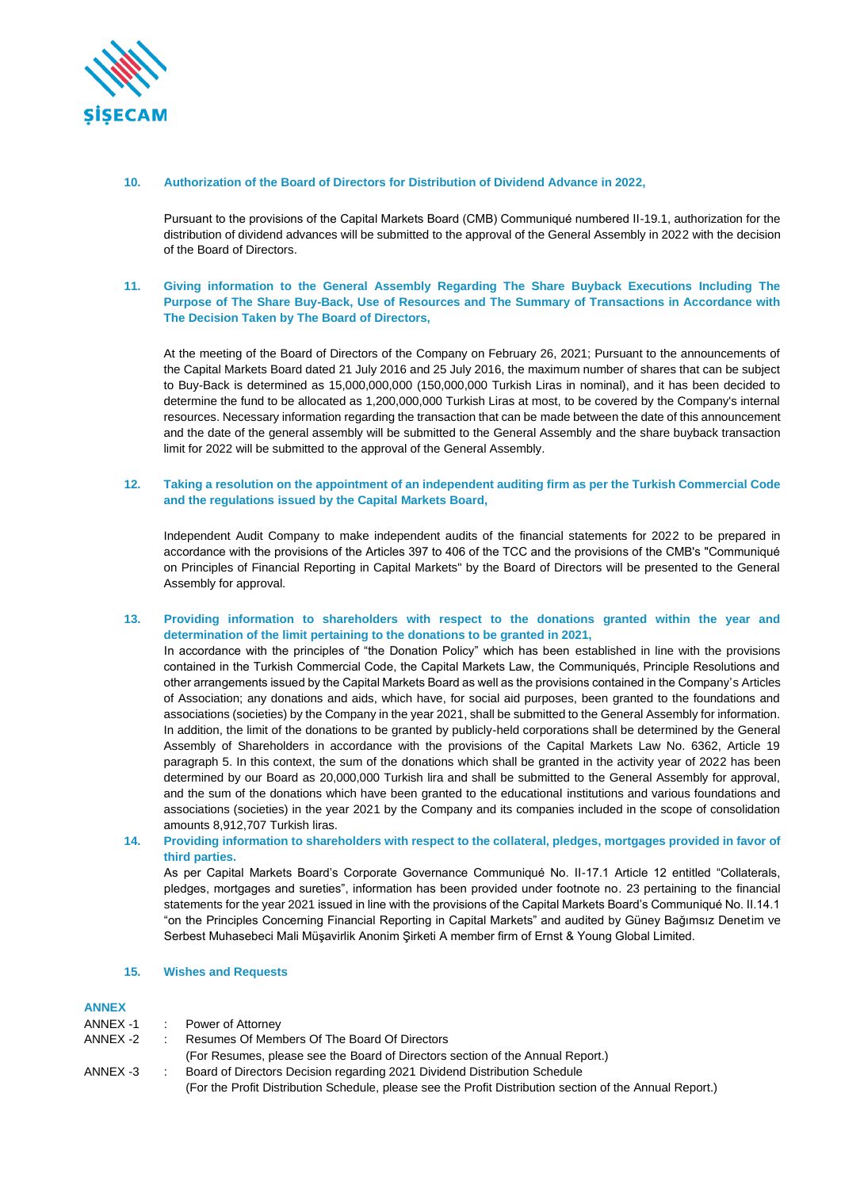

#### **10. Authorization of the Board of Directors for Distribution of Dividend Advance in 2022,**

Pursuant to the provisions of the Capital Markets Board (CMB) Communiqué numbered II-19.1, authorization for the distribution of dividend advances will be submitted to the approval of the General Assembly in 2022 with the decision of the Board of Directors.

## **11. Giving information to the General Assembly Regarding The Share Buyback Executions Including The Purpose of The Share Buy-Back, Use of Resources and The Summary of Transactions in Accordance with The Decision Taken by The Board of Directors,**

At the meeting of the Board of Directors of the Company on February 26, 2021; Pursuant to the announcements of the Capital Markets Board dated 21 July 2016 and 25 July 2016, the maximum number of shares that can be subject to Buy-Back is determined as 15,000,000,000 (150,000,000 Turkish Liras in nominal), and it has been decided to determine the fund to be allocated as 1,200,000,000 Turkish Liras at most, to be covered by the Company's internal resources. Necessary information regarding the transaction that can be made between the date of this announcement and the date of the general assembly will be submitted to the General Assembly and the share buyback transaction limit for 2022 will be submitted to the approval of the General Assembly.

### **12. Taking a resolution on the appointment of an independent auditing firm as per the Turkish Commercial Code and the regulations issued by the Capital Markets Board,**

Independent Audit Company to make independent audits of the financial statements for 2022 to be prepared in accordance with the provisions of the Articles 397 to 406 of the TCC and the provisions of the CMB's "Communiqué on Principles of Financial Reporting in Capital Markets" by the Board of Directors will be presented to the General Assembly for approval.

#### **13. Providing information to shareholders with respect to the donations granted within the year and determination of the limit pertaining to the donations to be granted in 2021,**

In accordance with the principles of "the Donation Policy" which has been established in line with the provisions contained in the Turkish Commercial Code, the Capital Markets Law, the Communiqués, Principle Resolutions and other arrangements issued by the Capital Markets Board as well as the provisions contained in the Company's Articles of Association; any donations and aids, which have, for social aid purposes, been granted to the foundations and associations (societies) by the Company in the year 2021, shall be submitted to the General Assembly for information. In addition, the limit of the donations to be granted by publicly-held corporations shall be determined by the General Assembly of Shareholders in accordance with the provisions of the Capital Markets Law No. 6362, Article 19 paragraph 5. In this context, the sum of the donations which shall be granted in the activity year of 2022 has been determined by our Board as 20,000,000 Turkish lira and shall be submitted to the General Assembly for approval, and the sum of the donations which have been granted to the educational institutions and various foundations and associations (societies) in the year 2021 by the Company and its companies included in the scope of consolidation amounts 8,912,707 Turkish liras.

### **14. Providing information to shareholders with respect to the collateral, pledges, mortgages provided in favor of third parties.**

As per Capital Markets Board's Corporate Governance Communiqué No. II-17.1 Article 12 entitled "Collaterals, pledges, mortgages and sureties", information has been provided under footnote no. 23 pertaining to the financial statements for the year 2021 issued in line with the provisions of the Capital Markets Board's Communiqué No. II.14.1 "on the Principles Concerning Financial Reporting in Capital Markets" and audited by Güney Bağımsız Denetim ve Serbest Muhasebeci Mali Müşavirlik Anonim Şirketi A member firm of Ernst & Young Global Limited.

#### **15. Wishes and Requests**

### **ANNEX**

| ANNEX -1 | Power of Attorney                                                                                        |
|----------|----------------------------------------------------------------------------------------------------------|
| ANNEX -2 | Resumes Of Members Of The Board Of Directors                                                             |
|          | (For Resumes, please see the Board of Directors section of the Annual Report.)                           |
| ANNEX -3 | Board of Directors Decision regarding 2021 Dividend Distribution Schedule                                |
|          | (For the Profit Distribution Schedule, please see the Profit Distribution section of the Annual Report.) |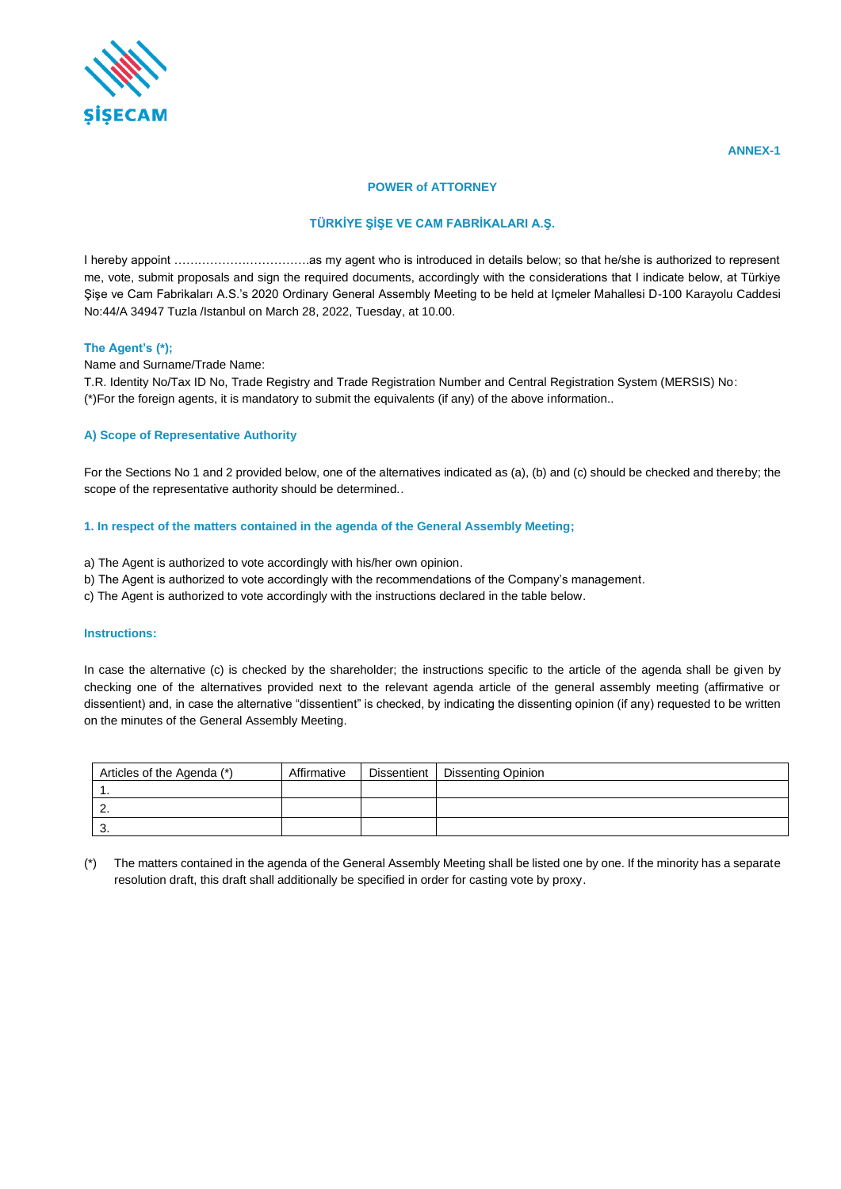

### **POWER of ATTORNEY**

# **TÜRKİYE ŞİŞE VE CAM FABRİKALARI A.Ş.**

I hereby appoint …………………………….as my agent who is introduced in details below; so that he/she is authorized to represent me, vote, submit proposals and sign the required documents, accordingly with the considerations that I indicate below, at Türkiye Şişe ve Cam Fabrikaları A.S.'s 2020 Ordinary General Assembly Meeting to be held at Içmeler Mahallesi D-100 Karayolu Caddesi No:44/A 34947 Tuzla /Istanbul on March 28, 2022, Tuesday, at 10.00.

### **The Agent's (\*);**

Name and Surname/Trade Name:

T.R. Identity No/Tax ID No, Trade Registry and Trade Registration Number and Central Registration System (MERSIS) No: (\*)For the foreign agents, it is mandatory to submit the equivalents (if any) of the above information..

### **A) Scope of Representative Authority**

For the Sections No 1 and 2 provided below, one of the alternatives indicated as (a), (b) and (c) should be checked and thereby; the scope of the representative authority should be determined..

## **1. In respect of the matters contained in the agenda of the General Assembly Meeting;**

- a) The Agent is authorized to vote accordingly with his/her own opinion.
- b) The Agent is authorized to vote accordingly with the recommendations of the Company's management.
- c) The Agent is authorized to vote accordingly with the instructions declared in the table below.

### **Instructions:**

In case the alternative (c) is checked by the shareholder; the instructions specific to the article of the agenda shall be given by checking one of the alternatives provided next to the relevant agenda article of the general assembly meeting (affirmative or dissentient) and, in case the alternative "dissentient" is checked, by indicating the dissenting opinion (if any) requested to be written on the minutes of the General Assembly Meeting.

| Articles of the Agenda (*) | Affirmative | Dissentient   Dissenting Opinion |
|----------------------------|-------------|----------------------------------|
|                            |             |                                  |
| <u>.</u>                   |             |                                  |
| J.                         |             |                                  |

(\*) The matters contained in the agenda of the General Assembly Meeting shall be listed one by one. If the minority has a separate resolution draft, this draft shall additionally be specified in order for casting vote by proxy.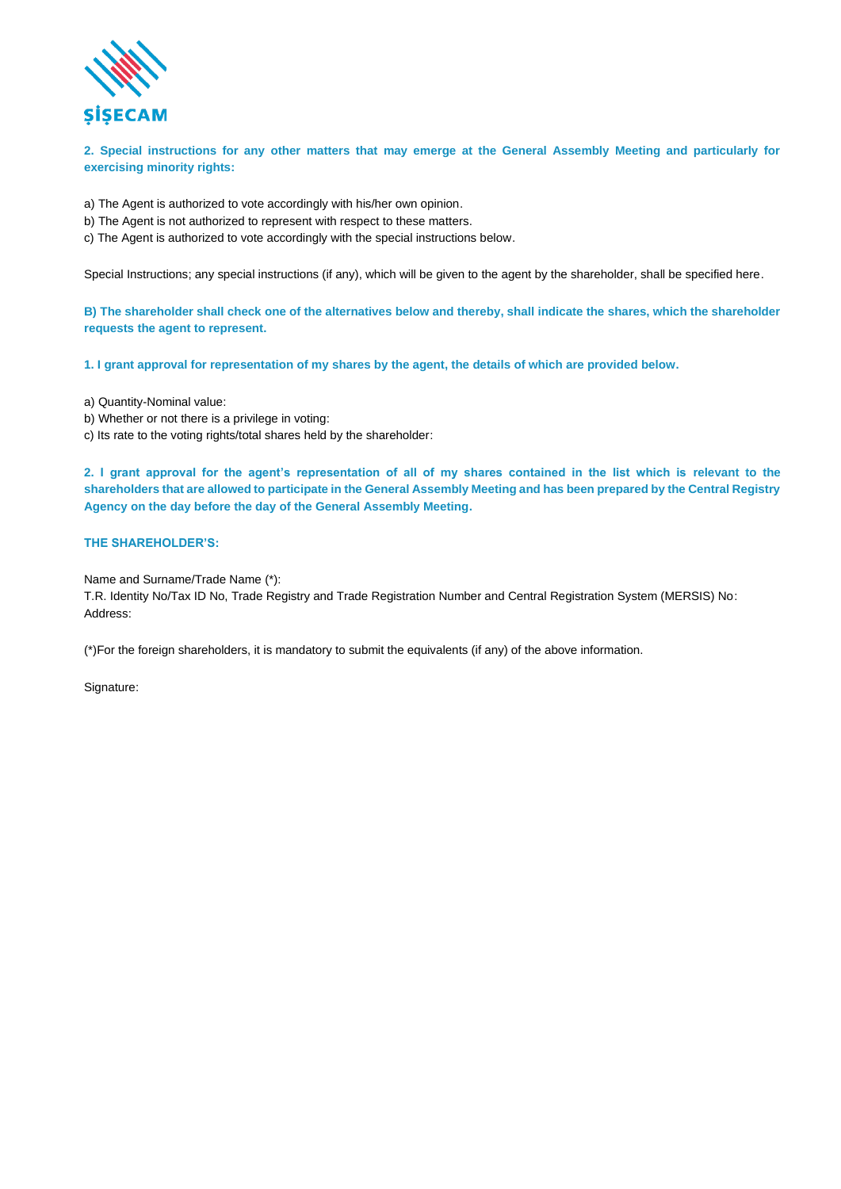

**2. Special instructions for any other matters that may emerge at the General Assembly Meeting and particularly for exercising minority rights:**

- a) The Agent is authorized to vote accordingly with his/her own opinion.
- b) The Agent is not authorized to represent with respect to these matters.
- c) The Agent is authorized to vote accordingly with the special instructions below.

Special Instructions; any special instructions (if any), which will be given to the agent by the shareholder, shall be specified here.

**B) The shareholder shall check one of the alternatives below and thereby, shall indicate the shares, which the shareholder requests the agent to represent.**

**1. I grant approval for representation of my shares by the agent, the details of which are provided below.** 

a) Quantity-Nominal value:

- b) Whether or not there is a privilege in voting:
- c) Its rate to the voting rights/total shares held by the shareholder:

**2. I grant approval for the agent's representation of all of my shares contained in the list which is relevant to the shareholders that are allowed to participate in the General Assembly Meeting and has been prepared by the Central Registry Agency on the day before the day of the General Assembly Meeting.**

### **THE SHAREHOLDER'S:**

Name and Surname/Trade Name (\*):

T.R. Identity No/Tax ID No, Trade Registry and Trade Registration Number and Central Registration System (MERSIS) No: Address:

(\*)For the foreign shareholders, it is mandatory to submit the equivalents (if any) of the above information.

Signature: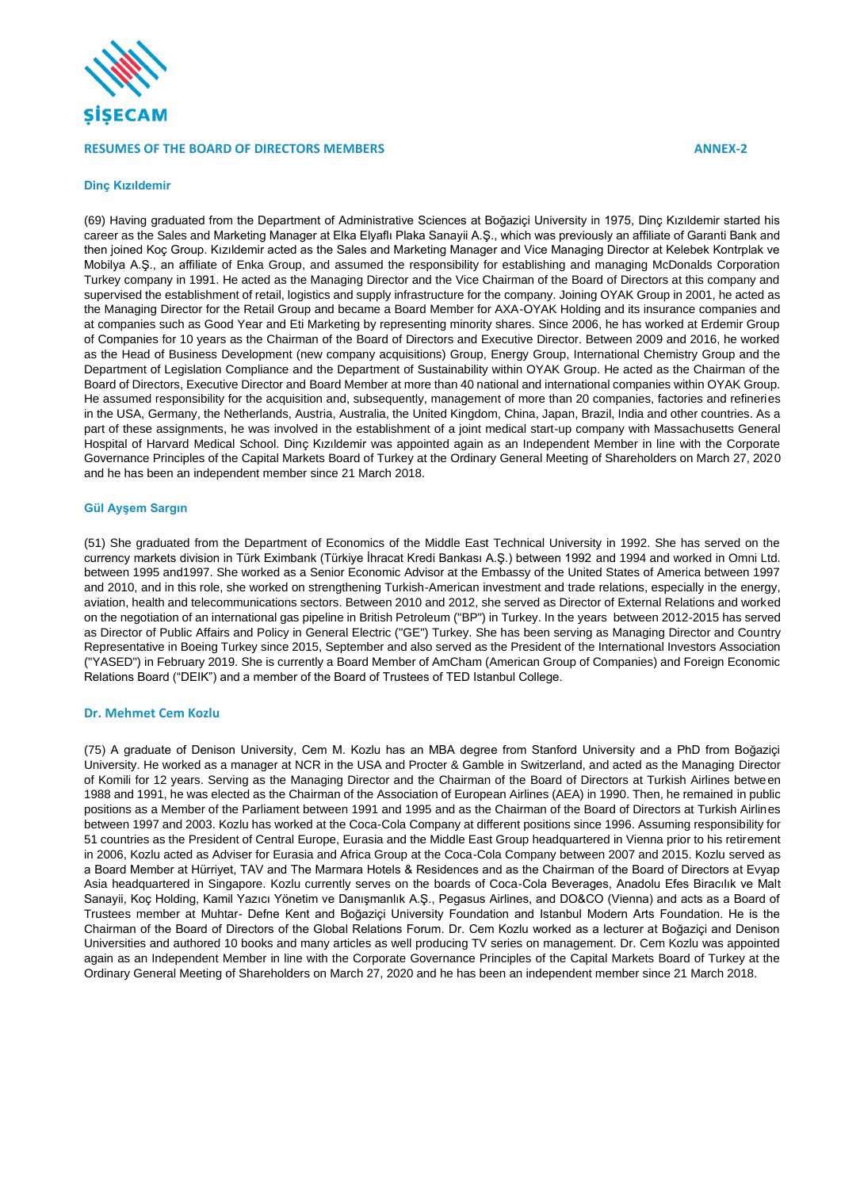

### **RESUMES OF THE BOARD OF DIRECTORS MEMBERS ANNEX-2**

#### **Dinç Kızıldemir**

(69) Having graduated from the Department of Administrative Sciences at Boğaziçi University in 1975, Dinç Kızıldemir started his career as the Sales and Marketing Manager at Elka Elyaflı Plaka Sanayii A.Ş., which was previously an affiliate of Garanti Bank and then joined Koç Group. Kızıldemir acted as the Sales and Marketing Manager and Vice Managing Director at Kelebek Kontrplak ve Mobilya A.Ş., an affiliate of Enka Group, and assumed the responsibility for establishing and managing McDonalds Corporation Turkey company in 1991. He acted as the Managing Director and the Vice Chairman of the Board of Directors at this company and supervised the establishment of retail, logistics and supply infrastructure for the company. Joining OYAK Group in 2001, he acted as the Managing Director for the Retail Group and became a Board Member for AXA-OYAK Holding and its insurance companies and at companies such as Good Year and Eti Marketing by representing minority shares. Since 2006, he has worked at Erdemir Group of Companies for 10 years as the Chairman of the Board of Directors and Executive Director. Between 2009 and 2016, he worked as the Head of Business Development (new company acquisitions) Group, Energy Group, International Chemistry Group and the Department of Legislation Compliance and the Department of Sustainability within OYAK Group. He acted as the Chairman of the Board of Directors, Executive Director and Board Member at more than 40 national and international companies within OYAK Group. He assumed responsibility for the acquisition and, subsequently, management of more than 20 companies, factories and refineries in the USA, Germany, the Netherlands, Austria, Australia, the United Kingdom, China, Japan, Brazil, India and other countries. As a part of these assignments, he was involved in the establishment of a joint medical start-up company with Massachusetts General Hospital of Harvard Medical School. Dinç Kızıldemir was appointed again as an Independent Member in line with the Corporate Governance Principles of the Capital Markets Board of Turkey at the Ordinary General Meeting of Shareholders on March 27, 2020 and he has been an independent member since 21 March 2018.

#### **Gül Ayşem Sargın**

(51) She graduated from the Department of Economics of the Middle East Technical University in 1992. She has served on the currency markets division in Türk Eximbank (Türkiye İhracat Kredi Bankası A.Ş.) between 1992 and 1994 and worked in Omni Ltd. between 1995 and1997. She worked as a Senior Economic Advisor at the Embassy of the United States of America between 1997 and 2010, and in this role, she worked on strengthening Turkish-American investment and trade relations, especially in the energy, aviation, health and telecommunications sectors. Between 2010 and 2012, she served as Director of External Relations and worked on the negotiation of an international gas pipeline in British Petroleum ("BP") in Turkey. In the years between 2012-2015 has served as Director of Public Affairs and Policy in General Electric ("GE") Turkey. She has been serving as Managing Director and Country Representative in Boeing Turkey since 2015, September and also served as the President of the International Investors Association ("YASED") in February 2019. She is currently a Board Member of AmCham (American Group of Companies) and Foreign Economic Relations Board ("DEIK") and a member of the Board of Trustees of TED Istanbul College.

#### **Dr. Mehmet Cem Kozlu**

(75) A graduate of Denison University, Cem M. Kozlu has an MBA degree from Stanford University and a PhD from Boğaziçi University. He worked as a manager at NCR in the USA and Procter & Gamble in Switzerland, and acted as the Managing Director of Komili for 12 years. Serving as the Managing Director and the Chairman of the Board of Directors at Turkish Airlines between 1988 and 1991, he was elected as the Chairman of the Association of European Airlines (AEA) in 1990. Then, he remained in public positions as a Member of the Parliament between 1991 and 1995 and as the Chairman of the Board of Directors at Turkish Airlines between 1997 and 2003. Kozlu has worked at the Coca-Cola Company at different positions since 1996. Assuming responsibility for 51 countries as the President of Central Europe, Eurasia and the Middle East Group headquartered in Vienna prior to his retirement in 2006, Kozlu acted as Adviser for Eurasia and Africa Group at the Coca-Cola Company between 2007 and 2015. Kozlu served as a Board Member at Hürriyet, TAV and The Marmara Hotels & Residences and as the Chairman of the Board of Directors at Evyap Asia headquartered in Singapore. Kozlu currently serves on the boards of Coca-Cola Beverages, Anadolu Efes Biracılık ve Malt Sanayii, Koç Holding, Kamil Yazıcı Yönetim ve Danışmanlık A.Ş., Pegasus Airlines, and DO&CO (Vienna) and acts as a Board of Trustees member at Muhtar- Defne Kent and Boğaziçi University Foundation and Istanbul Modern Arts Foundation. He is the Chairman of the Board of Directors of the Global Relations Forum. Dr. Cem Kozlu worked as a lecturer at Boğaziçi and Denison Universities and authored 10 books and many articles as well producing TV series on management. Dr. Cem Kozlu was appointed again as an Independent Member in line with the Corporate Governance Principles of the Capital Markets Board of Turkey at the Ordinary General Meeting of Shareholders on March 27, 2020 and he has been an independent member since 21 March 2018.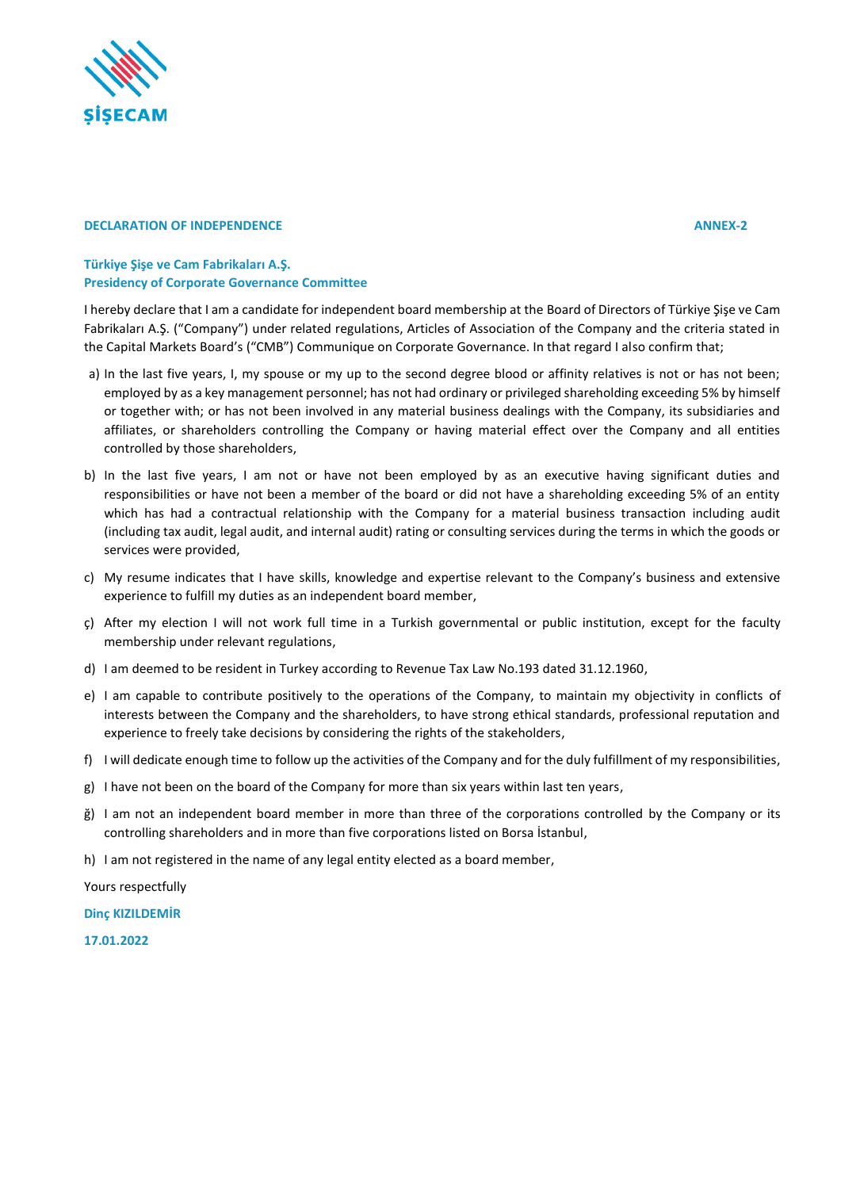

## **DECLARATION OF INDEPENDENCE ANNEX-2**

## **Türkiye Şişe ve Cam Fabrikaları A.Ş. Presidency of Corporate Governance Committee**

I hereby declare that I am a candidate for independent board membership at the Board of Directors of Türkiye Şişe ve Cam Fabrikaları A.Ş. ("Company") under related regulations, Articles of Association of the Company and the criteria stated in the Capital Markets Board's ("CMB") Communique on Corporate Governance. In that regard I also confirm that;

- a) In the last five years, I, my spouse or my up to the second degree blood or affinity relatives is not or has not been; employed by as a key management personnel; has not had ordinary or privileged shareholding exceeding 5% by himself or together with; or has not been involved in any material business dealings with the Company, its subsidiaries and affiliates, or shareholders controlling the Company or having material effect over the Company and all entities controlled by those shareholders,
- b) In the last five years, I am not or have not been employed by as an executive having significant duties and responsibilities or have not been a member of the board or did not have a shareholding exceeding 5% of an entity which has had a contractual relationship with the Company for a material business transaction including audit (including tax audit, legal audit, and internal audit) rating or consulting services during the terms in which the goods or services were provided,
- c) My resume indicates that I have skills, knowledge and expertise relevant to the Company's business and extensive experience to fulfill my duties as an independent board member,
- ç) After my election I will not work full time in a Turkish governmental or public institution, except for the faculty membership under relevant regulations,
- d) I am deemed to be resident in Turkey according to Revenue Tax Law No.193 dated 31.12.1960,
- e) I am capable to contribute positively to the operations of the Company, to maintain my objectivity in conflicts of interests between the Company and the shareholders, to have strong ethical standards, professional reputation and experience to freely take decisions by considering the rights of the stakeholders,
- f) I will dedicate enough time to follow up the activities of the Company and for the duly fulfillment of my responsibilities,
- g) I have not been on the board of the Company for more than six years within last ten years,
- ğ) I am not an independent board member in more than three of the corporations controlled by the Company or its controlling shareholders and in more than five corporations listed on Borsa İstanbul,
- h) I am not registered in the name of any legal entity elected as a board member,

Yours respectfully

**Dinç KIZILDEMİR**

**17.01.2022**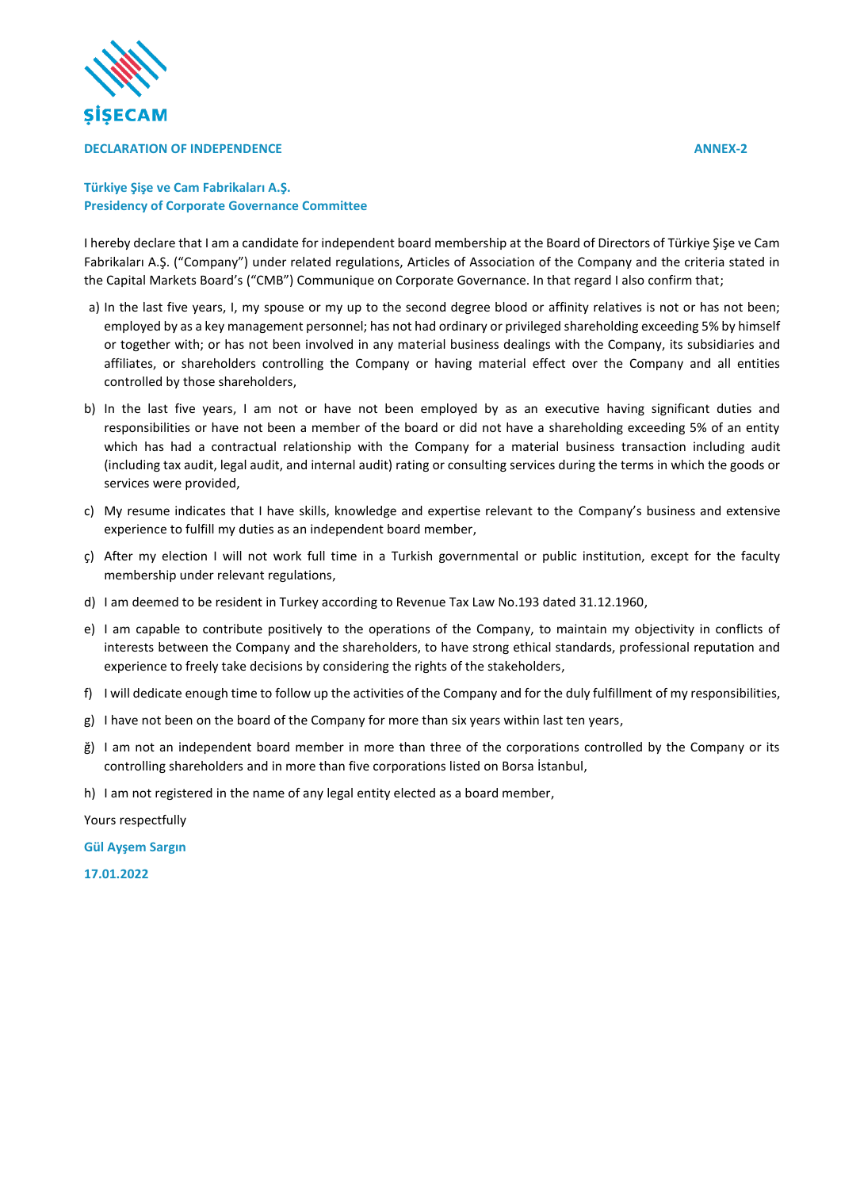

### **DECLARATION OF INDEPENDENCE ANNEX-2**

## **Türkiye Şişe ve Cam Fabrikaları A.Ş. Presidency of Corporate Governance Committee**

I hereby declare that I am a candidate for independent board membership at the Board of Directors of Türkiye Şişe ve Cam Fabrikaları A.Ş. ("Company") under related regulations, Articles of Association of the Company and the criteria stated in the Capital Markets Board's ("CMB") Communique on Corporate Governance. In that regard I also confirm that;

- a) In the last five years, I, my spouse or my up to the second degree blood or affinity relatives is not or has not been; employed by as a key management personnel; has not had ordinary or privileged shareholding exceeding 5% by himself or together with; or has not been involved in any material business dealings with the Company, its subsidiaries and affiliates, or shareholders controlling the Company or having material effect over the Company and all entities controlled by those shareholders,
- b) In the last five years, I am not or have not been employed by as an executive having significant duties and responsibilities or have not been a member of the board or did not have a shareholding exceeding 5% of an entity which has had a contractual relationship with the Company for a material business transaction including audit (including tax audit, legal audit, and internal audit) rating or consulting services during the terms in which the goods or services were provided,
- c) My resume indicates that I have skills, knowledge and expertise relevant to the Company's business and extensive experience to fulfill my duties as an independent board member,
- ç) After my election I will not work full time in a Turkish governmental or public institution, except for the faculty membership under relevant regulations,
- d) I am deemed to be resident in Turkey according to Revenue Tax Law No.193 dated 31.12.1960,
- e) I am capable to contribute positively to the operations of the Company, to maintain my objectivity in conflicts of interests between the Company and the shareholders, to have strong ethical standards, professional reputation and experience to freely take decisions by considering the rights of the stakeholders,
- f) I will dedicate enough time to follow up the activities of the Company and for the duly fulfillment of my responsibilities,
- g) I have not been on the board of the Company for more than six years within last ten years,
- ğ) I am not an independent board member in more than three of the corporations controlled by the Company or its controlling shareholders and in more than five corporations listed on Borsa İstanbul,
- h) I am not registered in the name of any legal entity elected as a board member,

Yours respectfully

**Gül Ayşem Sargın**

**17.01.2022**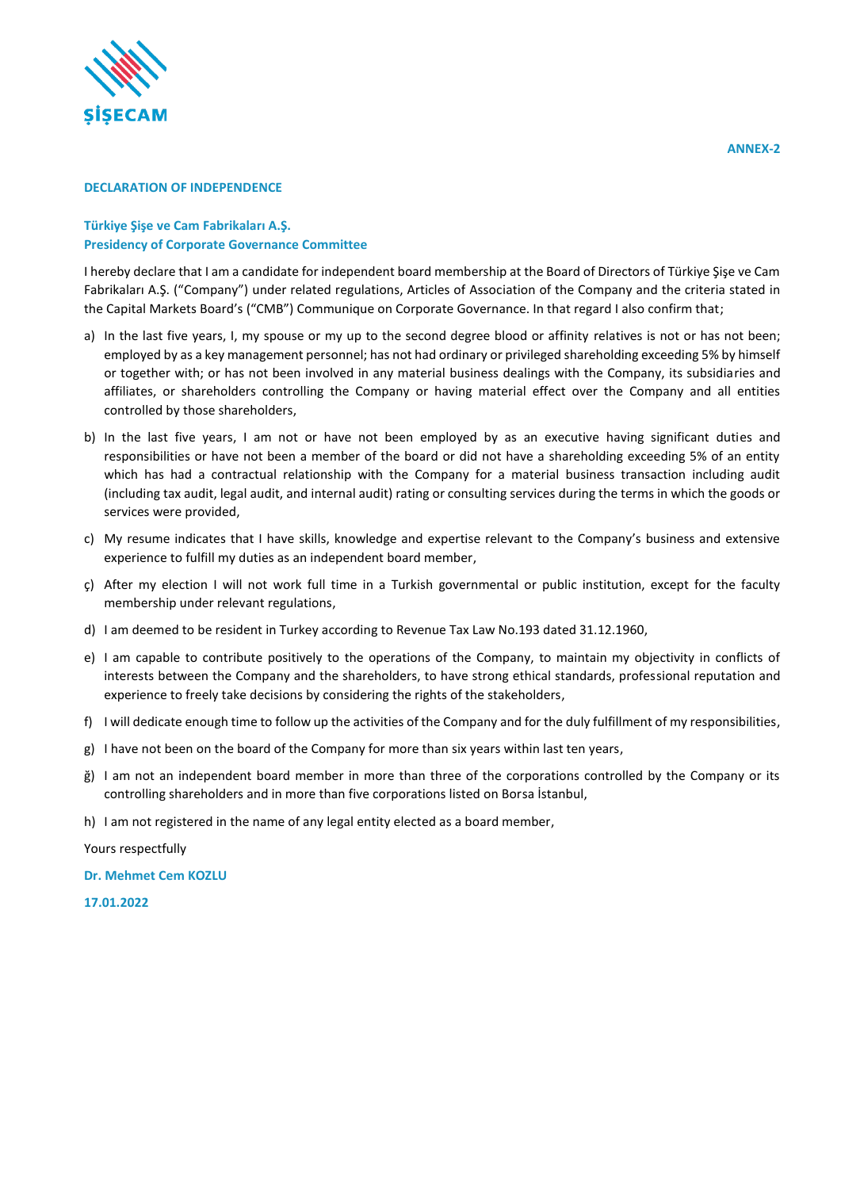

## **DECLARATION OF INDEPENDENCE**

## **Türkiye Şişe ve Cam Fabrikaları A.Ş. Presidency of Corporate Governance Committee**

I hereby declare that I am a candidate for independent board membership at the Board of Directors of Türkiye Şişe ve Cam Fabrikaları A.Ş. ("Company") under related regulations, Articles of Association of the Company and the criteria stated in the Capital Markets Board's ("CMB") Communique on Corporate Governance. In that regard I also confirm that;

- a) In the last five years, I, my spouse or my up to the second degree blood or affinity relatives is not or has not been; employed by as a key management personnel; has not had ordinary or privileged shareholding exceeding 5% by himself or together with; or has not been involved in any material business dealings with the Company, its subsidiaries and affiliates, or shareholders controlling the Company or having material effect over the Company and all entities controlled by those shareholders,
- b) In the last five years, I am not or have not been employed by as an executive having significant duties and responsibilities or have not been a member of the board or did not have a shareholding exceeding 5% of an entity which has had a contractual relationship with the Company for a material business transaction including audit (including tax audit, legal audit, and internal audit) rating or consulting services during the terms in which the goods or services were provided,
- c) My resume indicates that I have skills, knowledge and expertise relevant to the Company's business and extensive experience to fulfill my duties as an independent board member,
- ç) After my election I will not work full time in a Turkish governmental or public institution, except for the faculty membership under relevant regulations,
- d) I am deemed to be resident in Turkey according to Revenue Tax Law No.193 dated 31.12.1960,
- e) I am capable to contribute positively to the operations of the Company, to maintain my objectivity in conflicts of interests between the Company and the shareholders, to have strong ethical standards, professional reputation and experience to freely take decisions by considering the rights of the stakeholders,
- f) I will dedicate enough time to follow up the activities of the Company and for the duly fulfillment of my responsibilities,
- g) I have not been on the board of the Company for more than six years within last ten years,
- ğ) I am not an independent board member in more than three of the corporations controlled by the Company or its controlling shareholders and in more than five corporations listed on Borsa İstanbul,
- h) I am not registered in the name of any legal entity elected as a board member,

Yours respectfully

**Dr. Mehmet Cem KOZLU**

**17.01.2022**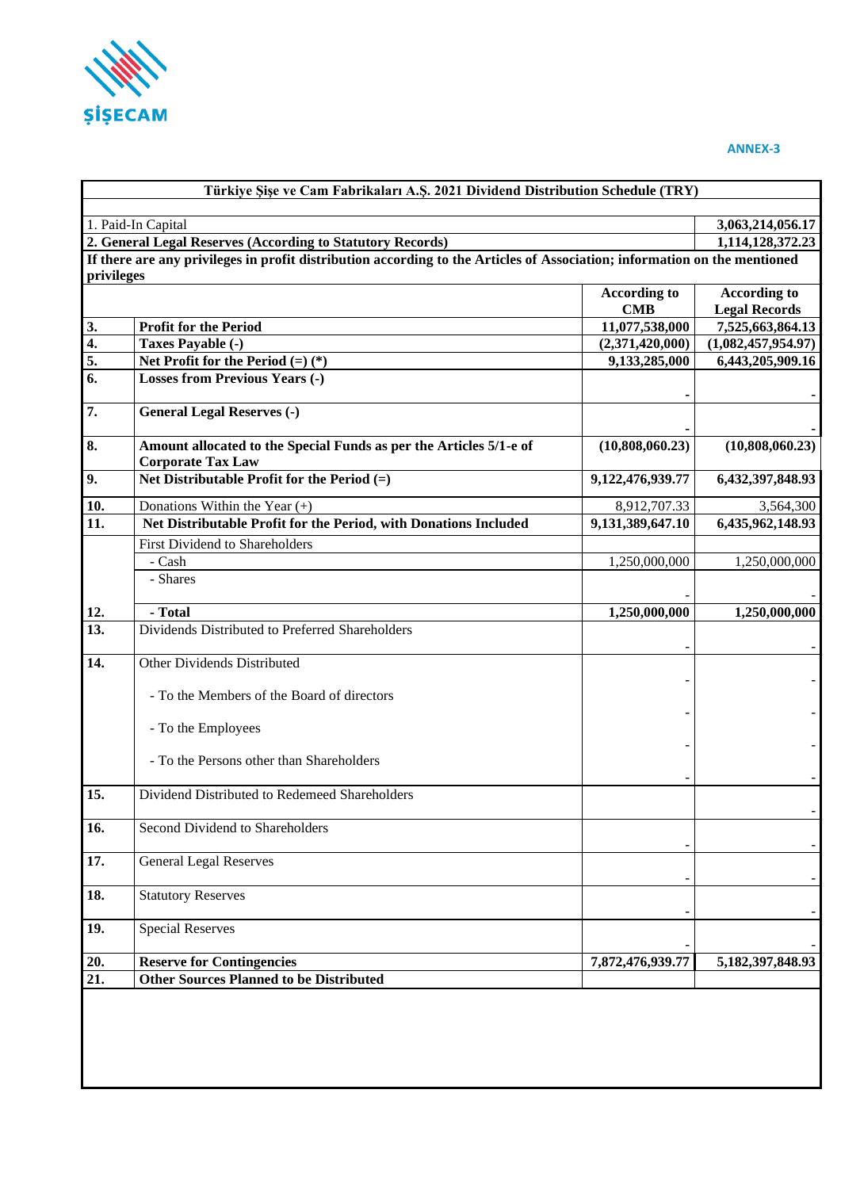

# **ANNEX-3**

| 1. Paid-In Capital<br>privileges<br>3.<br>$\overline{4}$ .<br>5.<br>6.<br>7.<br>8.<br>9.<br>10. | 2. General Legal Reserves (According to Statutory Records)<br>If there are any privileges in profit distribution according to the Articles of Association; information on the mentioned<br><b>Profit for the Period</b><br>Taxes Payable (-)<br>Net Profit for the Period $(=)$ $(*)$<br><b>Losses from Previous Years (-)</b><br><b>General Legal Reserves (-)</b><br>Amount allocated to the Special Funds as per the Articles 5/1-e of | <b>According to</b><br><b>CMB</b><br>11,077,538,000<br>(2,371,420,000)<br>9,133,285,000 | 3,063,214,056.17<br>1,114,128,372.23<br><b>According to</b><br><b>Legal Records</b><br>7,525,663,864.13<br>(1,082,457,954.97)<br>6,443,205,909.16 |
|-------------------------------------------------------------------------------------------------|-------------------------------------------------------------------------------------------------------------------------------------------------------------------------------------------------------------------------------------------------------------------------------------------------------------------------------------------------------------------------------------------------------------------------------------------|-----------------------------------------------------------------------------------------|---------------------------------------------------------------------------------------------------------------------------------------------------|
|                                                                                                 |                                                                                                                                                                                                                                                                                                                                                                                                                                           |                                                                                         |                                                                                                                                                   |
|                                                                                                 |                                                                                                                                                                                                                                                                                                                                                                                                                                           |                                                                                         |                                                                                                                                                   |
|                                                                                                 |                                                                                                                                                                                                                                                                                                                                                                                                                                           |                                                                                         |                                                                                                                                                   |
|                                                                                                 |                                                                                                                                                                                                                                                                                                                                                                                                                                           |                                                                                         |                                                                                                                                                   |
|                                                                                                 |                                                                                                                                                                                                                                                                                                                                                                                                                                           |                                                                                         |                                                                                                                                                   |
|                                                                                                 |                                                                                                                                                                                                                                                                                                                                                                                                                                           |                                                                                         |                                                                                                                                                   |
|                                                                                                 |                                                                                                                                                                                                                                                                                                                                                                                                                                           |                                                                                         |                                                                                                                                                   |
|                                                                                                 |                                                                                                                                                                                                                                                                                                                                                                                                                                           |                                                                                         |                                                                                                                                                   |
|                                                                                                 |                                                                                                                                                                                                                                                                                                                                                                                                                                           |                                                                                         |                                                                                                                                                   |
|                                                                                                 |                                                                                                                                                                                                                                                                                                                                                                                                                                           |                                                                                         |                                                                                                                                                   |
|                                                                                                 |                                                                                                                                                                                                                                                                                                                                                                                                                                           |                                                                                         |                                                                                                                                                   |
|                                                                                                 | <b>Corporate Tax Law</b>                                                                                                                                                                                                                                                                                                                                                                                                                  | (10,808,060.23)                                                                         | (10,808,060.23)                                                                                                                                   |
|                                                                                                 | Net Distributable Profit for the Period $(=)$                                                                                                                                                                                                                                                                                                                                                                                             | 9,122,476,939.77                                                                        | 6,432,397,848.93                                                                                                                                  |
|                                                                                                 | Donations Within the Year $(+)$                                                                                                                                                                                                                                                                                                                                                                                                           | 8,912,707.33                                                                            | 3,564,300                                                                                                                                         |
| 11.                                                                                             | Net Distributable Profit for the Period, with Donations Included                                                                                                                                                                                                                                                                                                                                                                          | 9,131,389,647.10                                                                        | 6,435,962,148.93                                                                                                                                  |
|                                                                                                 | First Dividend to Shareholders                                                                                                                                                                                                                                                                                                                                                                                                            |                                                                                         |                                                                                                                                                   |
|                                                                                                 | - Cash                                                                                                                                                                                                                                                                                                                                                                                                                                    | 1,250,000,000                                                                           | 1,250,000,000                                                                                                                                     |
|                                                                                                 | - Shares                                                                                                                                                                                                                                                                                                                                                                                                                                  |                                                                                         |                                                                                                                                                   |
| 12.                                                                                             | - Total                                                                                                                                                                                                                                                                                                                                                                                                                                   | 1,250,000,000                                                                           | 1,250,000,000                                                                                                                                     |
| 13.                                                                                             | Dividends Distributed to Preferred Shareholders                                                                                                                                                                                                                                                                                                                                                                                           |                                                                                         |                                                                                                                                                   |
| 14.                                                                                             | Other Dividends Distributed                                                                                                                                                                                                                                                                                                                                                                                                               |                                                                                         |                                                                                                                                                   |
|                                                                                                 | - To the Members of the Board of directors                                                                                                                                                                                                                                                                                                                                                                                                |                                                                                         |                                                                                                                                                   |
|                                                                                                 | - To the Employees                                                                                                                                                                                                                                                                                                                                                                                                                        |                                                                                         |                                                                                                                                                   |
|                                                                                                 | - To the Persons other than Shareholders                                                                                                                                                                                                                                                                                                                                                                                                  |                                                                                         |                                                                                                                                                   |
| 15.                                                                                             | Dividend Distributed to Redemeed Shareholders                                                                                                                                                                                                                                                                                                                                                                                             |                                                                                         |                                                                                                                                                   |
| 16.                                                                                             | Second Dividend to Shareholders                                                                                                                                                                                                                                                                                                                                                                                                           |                                                                                         |                                                                                                                                                   |
| 17.                                                                                             | <b>General Legal Reserves</b>                                                                                                                                                                                                                                                                                                                                                                                                             |                                                                                         |                                                                                                                                                   |
| 18.                                                                                             | <b>Statutory Reserves</b>                                                                                                                                                                                                                                                                                                                                                                                                                 |                                                                                         |                                                                                                                                                   |
| 19.                                                                                             | <b>Special Reserves</b>                                                                                                                                                                                                                                                                                                                                                                                                                   |                                                                                         |                                                                                                                                                   |
| 20.                                                                                             | <b>Reserve for Contingencies</b>                                                                                                                                                                                                                                                                                                                                                                                                          | 7,872,476,939.77                                                                        | 5, 182, 397, 848. 93                                                                                                                              |
| $\overline{21}$ .                                                                               | <b>Other Sources Planned to be Distributed</b>                                                                                                                                                                                                                                                                                                                                                                                            |                                                                                         |                                                                                                                                                   |